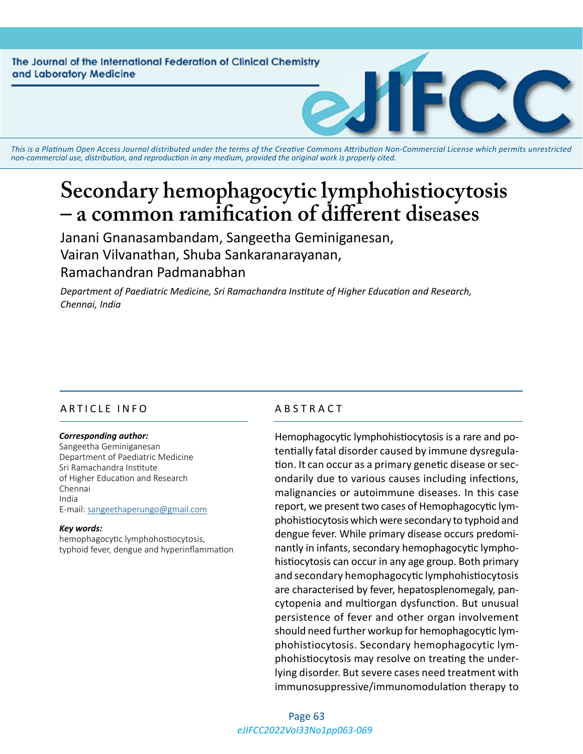The Journal of the International Federation of Clinical Chemistry and Laboratory Medicine

*This is a Platinum Open Access Journal distributed under the terms of the [Creative Commons Attribution Non-Commercial License](https://creativecommons.org/licenses/by-nc/4.0/) which permits unrestricted non-commercial use, distribution, and reproduction in any medium, provided the original work is properly cited.*

# **Secondary hemophagocytic lymphohistiocytosis – a common ramification of different diseases**

Janani Gnanasambandam, Sangeetha Geminiganesan, Vairan Vilvanathan, Shuba Sankaranarayanan, Ramachandran Padmanabhan

*Department of Paediatric Medicine, Sri Ramachandra Institute of Higher Education and Research, Chennai, India*

# ARTICLE INFO ABSTRACT

#### *Corresponding author:*

Sangeetha Geminiganesan Department of Paediatric Medicine Sri Ramachandra Institute of Higher Education and Research Chennai India E-mail: [sangeethaperungo@gmail.com](mailto:sangeethaperungo@gmail.com)

#### *Key words:*

hemophagocytic lymphohostiocytosis, typhoid fever, dengue and hyperinflammation

Hemophagocytic lymphohistiocytosis is a rare and potentially fatal disorder caused by immune dysregulation. It can occur as a primary genetic disease or secondarily due to various causes including infections, malignancies or autoimmune diseases. In this case report, we present two cases of Hemophagocytic lymphohistiocytosis which were secondary to typhoid and dengue fever. While primary disease occurs predominantly in infants, secondary hemophagocytic lymphohistiocytosis can occur in any age group. Both primary and secondary hemophagocytic lymphohistiocytosis are characterised by fever, hepatosplenomegaly, pancytopenia and multiorgan dysfunction. But unusual persistence of fever and other organ involvement should need further workup for hemophagocytic lymphohistiocytosis. Secondary hemophagocytic lymphohistiocytosis may resolve on treating the underlying disorder. But severe cases need treatment with immunosuppressive/immunomodulation therapy to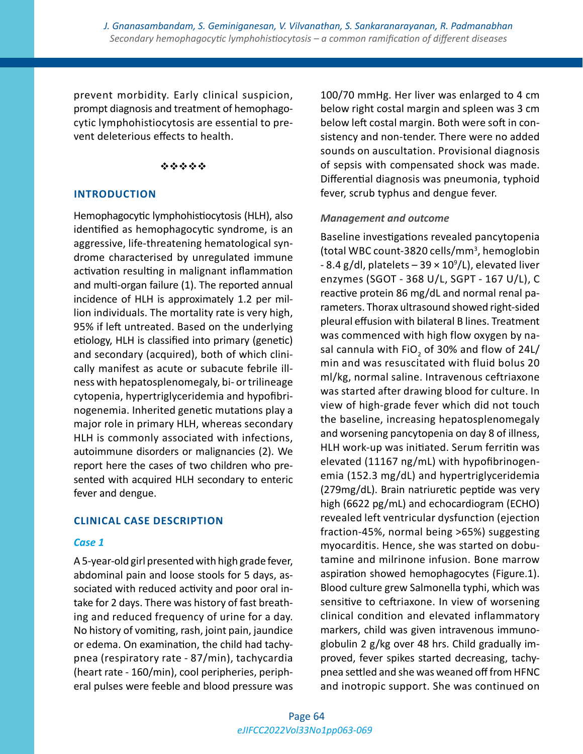prevent morbidity. Early clinical suspicion, prompt diagnosis and treatment of hemophagocytic lymphohistiocytosis are essential to prevent deleterious effects to health.

#### \*\*\*\*\*

## **INTRODUCTION**

Hemophagocytic lymphohistiocytosis (HLH), also identified as hemophagocytic syndrome, is an aggressive, life-threatening hematological syndrome characterised by unregulated immune activation resulting in malignant inflammation and multi-organ failure (1). The reported annual incidence of HLH is approximately 1.2 per million individuals. The mortality rate is very high, 95% if left untreated. Based on the underlying etiology, HLH is classified into primary (genetic) and secondary (acquired), both of which clinically manifest as acute or subacute febrile illness with hepatosplenomegaly, bi- or trilineage cytopenia, hypertriglyceridemia and hypofibrinogenemia. Inherited genetic mutations play a major role in primary HLH, whereas secondary HLH is commonly associated with infections, autoimmune disorders or malignancies (2). We report here the cases of two children who presented with acquired HLH secondary to enteric fever and dengue.

# **CLINICAL CASE DESCRIPTION**

#### *Case 1*

A 5-year-old girl presented with high grade fever, abdominal pain and loose stools for 5 days, associated with reduced activity and poor oral intake for 2 days. There was history of fast breathing and reduced frequency of urine for a day. No history of vomiting, rash, joint pain, jaundice or edema. On examination, the child had tachypnea (respiratory rate - 87/min), tachycardia (heart rate - 160/min), cool peripheries, peripheral pulses were feeble and blood pressure was 100/70 mmHg. Her liver was enlarged to 4 cm below right costal margin and spleen was 3 cm below left costal margin. Both were soft in consistency and non-tender. There were no added sounds on auscultation. Provisional diagnosis of sepsis with compensated shock was made. Differential diagnosis was pneumonia, typhoid fever, scrub typhus and dengue fever.

## *Management and outcome*

Baseline investigations revealed pancytopenia (total WBC count-3820 cells/mm<sup>3</sup> , hemoglobin  $-8.4$  g/dl, platelets  $-39 \times 10^9$ /L), elevated liver enzymes (SGOT - 368 U/L, SGPT - 167 U/L), C reactive protein 86 mg/dL and normal renal parameters. Thorax ultrasound showed right-sided pleural effusion with bilateral B lines. Treatment was commenced with high flow oxygen by nasal cannula with FiO<sub>2</sub> of 30% and flow of 24L/ min and was resuscitated with fluid bolus 20 ml/kg, normal saline. Intravenous ceftriaxone was started after drawing blood for culture. In view of high-grade fever which did not touch the baseline, increasing hepatosplenomegaly and worsening pancytopenia on day 8 of illness, HLH work-up was initiated. Serum ferritin was elevated (11167 ng/mL) with hypofibrinogenemia (152.3 mg/dL) and hypertriglyceridemia (279mg/dL). Brain natriuretic peptide was very high (6622 pg/mL) and echocardiogram (ECHO) revealed left ventricular dysfunction (ejection fraction-45%, normal being >65%) suggesting myocarditis. Hence, she was started on dobutamine and milrinone infusion. Bone marrow aspiration showed hemophagocytes (Figure.1). Blood culture grew Salmonella typhi, which was sensitive to ceftriaxone. In view of worsening clinical condition and elevated inflammatory markers, child was given intravenous immunoglobulin 2 g/kg over 48 hrs. Child gradually improved, fever spikes started decreasing, tachypnea settled and she was weaned off from HFNC and inotropic support. She was continued on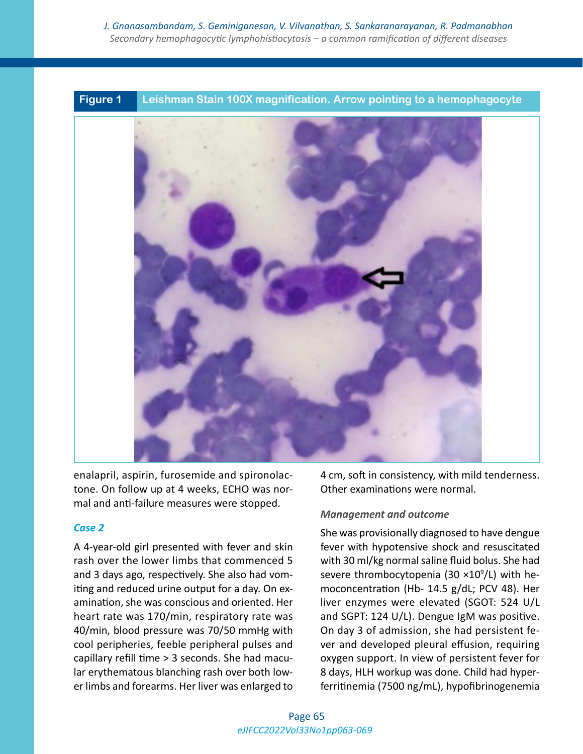

enalapril, aspirin, furosemide and spironolactone. On follow up at 4 weeks, ECHO was normal and anti-failure measures were stopped.

# *Case 2*

A 4-year-old girl presented with fever and skin rash over the lower limbs that commenced 5 and 3 days ago, respectively. She also had vomiting and reduced urine output for a day. On examination, she was conscious and oriented. Her heart rate was 170/min, respiratory rate was 40/min, blood pressure was 70/50 mmHg with cool peripheries, feeble peripheral pulses and capillary refill time > 3 seconds. She had macular erythematous blanching rash over both lower limbs and forearms. Her liver was enlarged to

4 cm, soft in consistency, with mild tenderness. Other examinations were normal.

# *Management and outcome*

She was provisionally diagnosed to have dengue fever with hypotensive shock and resuscitated with 30 ml/kg normal saline fluid bolus. She had severe thrombocytopenia (30 ×10<sup>9</sup>/L) with hemoconcentration (Hb- 14.5 g/dL; PCV 48). Her liver enzymes were elevated (SGOT: 524 U/L and SGPT: 124 U/L). Dengue IgM was positive. On day 3 of admission, she had persistent fever and developed pleural effusion, requiring oxygen support. In view of persistent fever for 8 days, HLH workup was done. Child had hyperferritinemia (7500 ng/mL), hypofibrinogenemia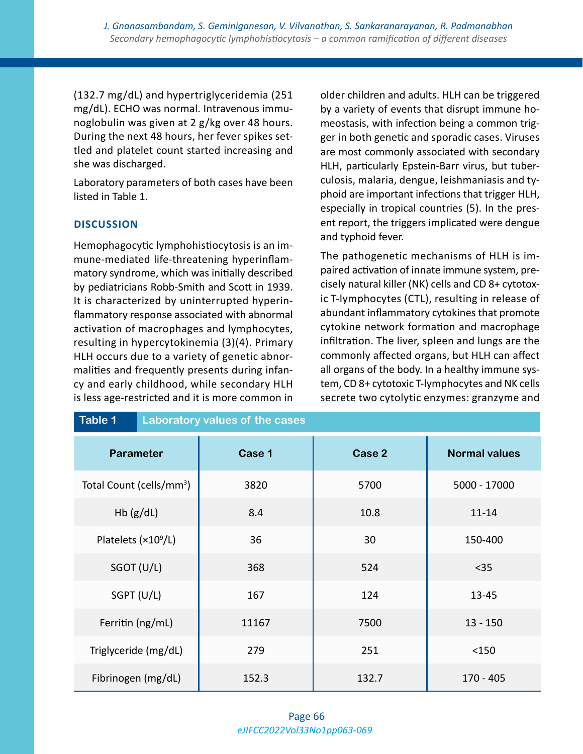(132.7 mg/dL) and hypertriglyceridemia (251 mg/dL). ECHO was normal. Intravenous immunoglobulin was given at 2 g/kg over 48 hours. During the next 48 hours, her fever spikes settled and platelet count started increasing and she was discharged.

Laboratory parameters of both cases have been listed in Table 1.

# **DISCUSSION**

Hemophagocytic lymphohistiocytosis is an immune-mediated life-threatening hyperinflammatory syndrome, which was initially described by pediatricians Robb-Smith and Scott in 1939. It is characterized by uninterrupted hyperinflammatory response associated with abnormal activation of macrophages and lymphocytes, resulting in hypercytokinemia (3)(4). Primary HLH occurs due to a variety of genetic abnormalities and frequently presents during infancy and early childhood, while secondary HLH is less age-restricted and it is more common in older children and adults. HLH can be triggered by a variety of events that disrupt immune homeostasis, with infection being a common trigger in both genetic and sporadic cases. Viruses are most commonly associated with secondary HLH, particularly Epstein-Barr virus, but tuberculosis, malaria, dengue, leishmaniasis and typhoid are important infections that trigger HLH, especially in tropical countries (5). In the present report, the triggers implicated were dengue and typhoid fever.

The pathogenetic mechanisms of HLH is impaired activation of innate immune system, precisely natural killer (NK) cells and CD 8+ cytotoxic T-lymphocytes (CTL), resulting in release of abundant inflammatory cytokines that promote cytokine network formation and macrophage infiltration. The liver, spleen and lungs are the commonly affected organs, but HLH can affect all organs of the body. In a healthy immune system, CD 8+ cytotoxic T-lymphocytes and NK cells secrete two cytolytic enzymes: granzyme and

| Table 1                              | Laboratory values of the cases |        |                      |
|--------------------------------------|--------------------------------|--------|----------------------|
| <b>Parameter</b>                     | Case 1                         | Case 2 | <b>Normal values</b> |
| Total Count (cells/mm <sup>3</sup> ) | 3820                           | 5700   | 5000 - 17000         |
| $Hb$ (g/dL)                          | 8.4                            | 10.8   | $11 - 14$            |
| Platelets (×10 <sup>9</sup> /L)      | 36                             | 30     | 150-400              |
| SGOT (U/L)                           | 368                            | 524    | $35$                 |
| SGPT (U/L)                           | 167                            | 124    | 13-45                |
| Ferritin (ng/mL)                     | 11167                          | 7500   | $13 - 150$           |
| Triglyceride (mg/dL)                 | 279                            | 251    | < 150                |
| Fibrinogen (mg/dL)                   | 152.3                          | 132.7  | $170 - 405$          |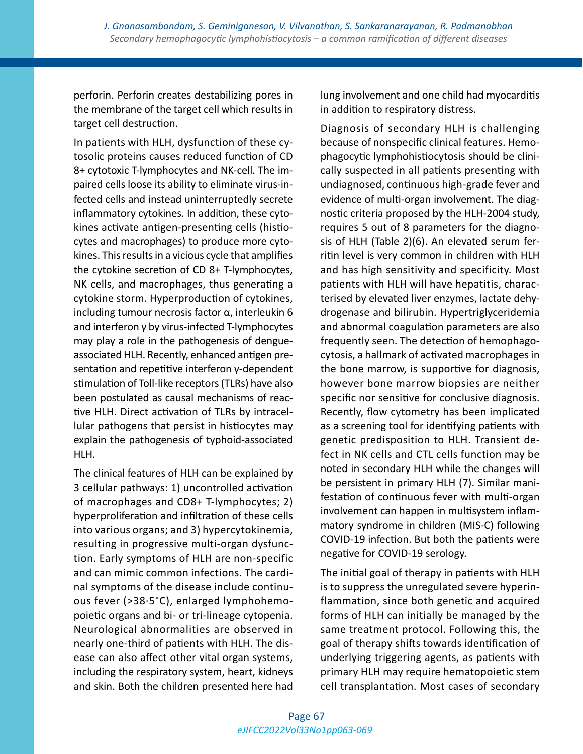perforin. Perforin creates destabilizing pores in the membrane of the target cell which results in target cell destruction.

In patients with HLH, dysfunction of these cytosolic proteins causes reduced function of CD 8+ cytotoxic T-lymphocytes and NK-cell. The impaired cells loose its ability to eliminate virus-infected cells and instead uninterruptedly secrete inflammatory cytokines. In addition, these cytokines activate antigen-presenting cells (histiocytes and macrophages) to produce more cytokines. This results in a vicious cycle that amplifies the cytokine secretion of CD 8+ T-lymphocytes, NK cells, and macrophages, thus generating a cytokine storm. Hyperproduction of cytokines, including tumour necrosis factor α, interleukin 6 and interferon γ by virus-infected T-lymphocytes may play a role in the pathogenesis of dengueassociated HLH. Recently, enhanced antigen presentation and repetitive interferon γ-dependent stimulation of Toll-like receptors (TLRs) have also been postulated as causal mechanisms of reactive HLH. Direct activation of TLRs by intracellular pathogens that persist in histiocytes may explain the pathogenesis of typhoid-associated HLH.

The clinical features of HLH can be explained by 3 cellular pathways: 1) uncontrolled activation of macrophages and CD8+ T-lymphocytes; 2) hyperproliferation and infiltration of these cells into various organs; and 3) hypercytokinemia, resulting in progressive multi-organ dysfunction. Early symptoms of HLH are non-specific and can mimic common infections. The cardinal symptoms of the disease include continuous fever (>38·5°C), enlarged lymphohemopoietic organs and bi- or tri-lineage cytopenia. Neurological abnormalities are observed in nearly one-third of patients with HLH. The disease can also affect other vital organ systems, including the respiratory system, heart, kidneys and skin. Both the children presented here had

lung involvement and one child had myocarditis in addition to respiratory distress.

Diagnosis of secondary HLH is challenging because of nonspecific clinical features. Hemophagocytic lymphohistiocytosis should be clinically suspected in all patients presenting with undiagnosed, continuous high-grade fever and evidence of multi-organ involvement. The diagnostic criteria proposed by the HLH-2004 study, requires 5 out of 8 parameters for the diagnosis of HLH (Table 2)(6). An elevated serum ferritin level is very common in children with HLH and has high sensitivity and specificity. Most patients with HLH will have hepatitis, characterised by elevated liver enzymes, lactate dehydrogenase and bilirubin. Hypertriglyceridemia and abnormal coagulation parameters are also frequently seen. The detection of hemophagocytosis, a hallmark of activated macrophages in the bone marrow, is supportive for diagnosis, however bone marrow biopsies are neither specific nor sensitive for conclusive diagnosis. Recently, flow cytometry has been implicated as a screening tool for identifying patients with genetic predisposition to HLH. Transient defect in NK cells and CTL cells function may be noted in secondary HLH while the changes will be persistent in primary HLH (7). Similar manifestation of continuous fever with multi-organ involvement can happen in multisystem inflammatory syndrome in children (MIS-C) following COVID-19 infection. But both the patients were negative for COVID-19 serology.

The initial goal of therapy in patients with HLH is to suppress the unregulated severe hyperinflammation, since both genetic and acquired forms of HLH can initially be managed by the same treatment protocol. Following this, the goal of therapy shifts towards identification of underlying triggering agents, as patients with primary HLH may require hematopoietic stem cell transplantation. Most cases of secondary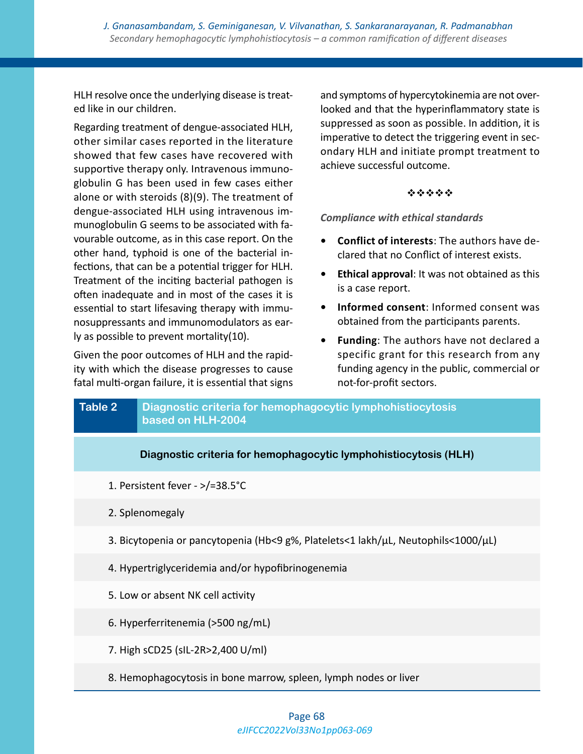*J. Gnanasambandam, S. Geminiganesan, V. Vilvanathan, S. Sankaranarayanan, R. Padmanabhan Secondary hemophagocytic lymphohistiocytosis – a common ramification of different diseases*

HLH resolve once the underlying disease is treated like in our children.

Regarding treatment of dengue-associated HLH, other similar cases reported in the literature showed that few cases have recovered with supportive therapy only. Intravenous immunoglobulin G has been used in few cases either alone or with steroids (8)(9). The treatment of dengue-associated HLH using intravenous immunoglobulin G seems to be associated with favourable outcome, as in this case report. On the other hand, typhoid is one of the bacterial infections, that can be a potential trigger for HLH. Treatment of the inciting bacterial pathogen is often inadequate and in most of the cases it is essential to start lifesaving therapy with immunosuppressants and immunomodulators as early as possible to prevent mortality(10).

Given the poor outcomes of HLH and the rapidity with which the disease progresses to cause fatal multi-organ failure, it is essential that signs and symptoms of hypercytokinemia are not overlooked and that the hyperinflammatory state is suppressed as soon as possible. In addition, it is imperative to detect the triggering event in secondary HLH and initiate prompt treatment to achieve successful outcome.

#### \*\*\*\*\*

*Compliance with ethical standards*

- **• Conflict of interests**: The authors have declared that no Conflict of interest exists.
- **• Ethical approval**: It was not obtained as this is a case report.
- **• Informed consent**: Informed consent was obtained from the participants parents.
- **• Funding**: The authors have not declared a specific grant for this research from any funding agency in the public, commercial or not-for-profit sectors.

| <b>Table 2</b>                                                                                | Diagnostic criteria for hemophagocytic lymphohistiocytosis<br>based on HLH-2004 |  |  |
|-----------------------------------------------------------------------------------------------|---------------------------------------------------------------------------------|--|--|
|                                                                                               | Diagnostic criteria for hemophagocytic lymphohistiocytosis (HLH)                |  |  |
| 1. Persistent fever - >/=38.5°C                                                               |                                                                                 |  |  |
| 2. Splenomegaly                                                                               |                                                                                 |  |  |
| 3. Bicytopenia or pancytopenia (Hb<9 g%, Platelets<1 lakh/ $\mu$ L, Neutophils<1000/ $\mu$ L) |                                                                                 |  |  |
| 4. Hypertriglyceridemia and/or hypofibrinogenemia                                             |                                                                                 |  |  |
| 5. Low or absent NK cell activity                                                             |                                                                                 |  |  |
| 6. Hyperferritenemia (>500 ng/mL)                                                             |                                                                                 |  |  |
|                                                                                               | 7. High sCD25 (sIL-2R>2,400 U/ml)                                               |  |  |
| 8. Hemophagocytosis in bone marrow, spleen, lymph nodes or liver                              |                                                                                 |  |  |

## *eJIFCC2022Vol33No1pp063-069* Page 68